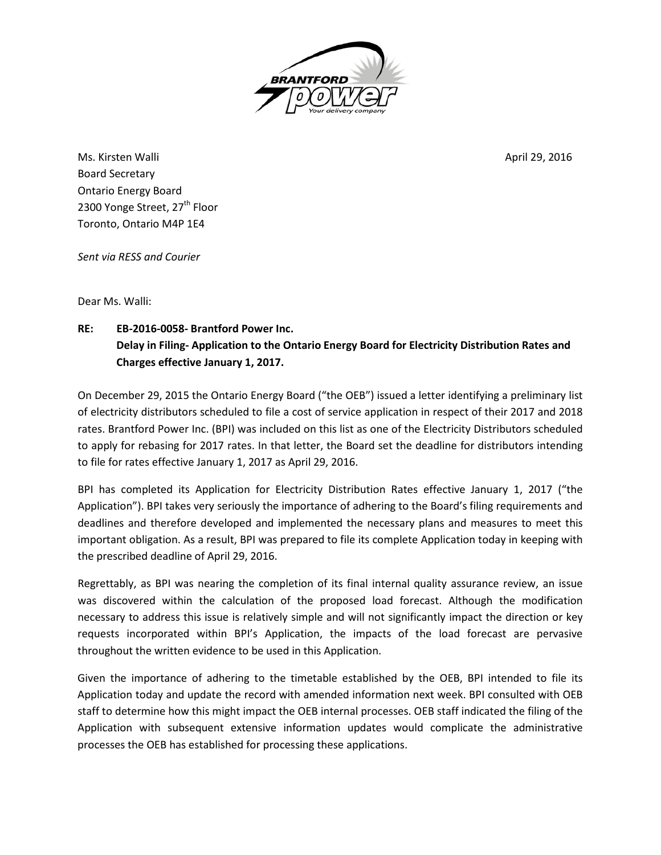

Ms. Kirsten Walli April 29, 2016 Board Secretary Ontario Energy Board 2300 Yonge Street, 27<sup>th</sup> Floor Toronto, Ontario M4P 1E4

*Sent via RESS and Courier*

Dear Ms. Walli:

**RE: EB-2016-0058- Brantford Power Inc. Delay in Filing- Application to the Ontario Energy Board for Electricity Distribution Rates and Charges effective January 1, 2017.** 

On December 29, 2015 the Ontario Energy Board ("the OEB") issued a letter identifying a preliminary list of electricity distributors scheduled to file a cost of service application in respect of their 2017 and 2018 rates. Brantford Power Inc. (BPI) was included on this list as one of the Electricity Distributors scheduled to apply for rebasing for 2017 rates. In that letter, the Board set the deadline for distributors intending to file for rates effective January 1, 2017 as April 29, 2016.

BPI has completed its Application for Electricity Distribution Rates effective January 1, 2017 ("the Application"). BPI takes very seriously the importance of adhering to the Board's filing requirements and deadlines and therefore developed and implemented the necessary plans and measures to meet this important obligation. As a result, BPI was prepared to file its complete Application today in keeping with the prescribed deadline of April 29, 2016.

Regrettably, as BPI was nearing the completion of its final internal quality assurance review, an issue was discovered within the calculation of the proposed load forecast. Although the modification necessary to address this issue is relatively simple and will not significantly impact the direction or key requests incorporated within BPI's Application, the impacts of the load forecast are pervasive throughout the written evidence to be used in this Application.

Given the importance of adhering to the timetable established by the OEB, BPI intended to file its Application today and update the record with amended information next week. BPI consulted with OEB staff to determine how this might impact the OEB internal processes. OEB staff indicated the filing of the Application with subsequent extensive information updates would complicate the administrative processes the OEB has established for processing these applications.